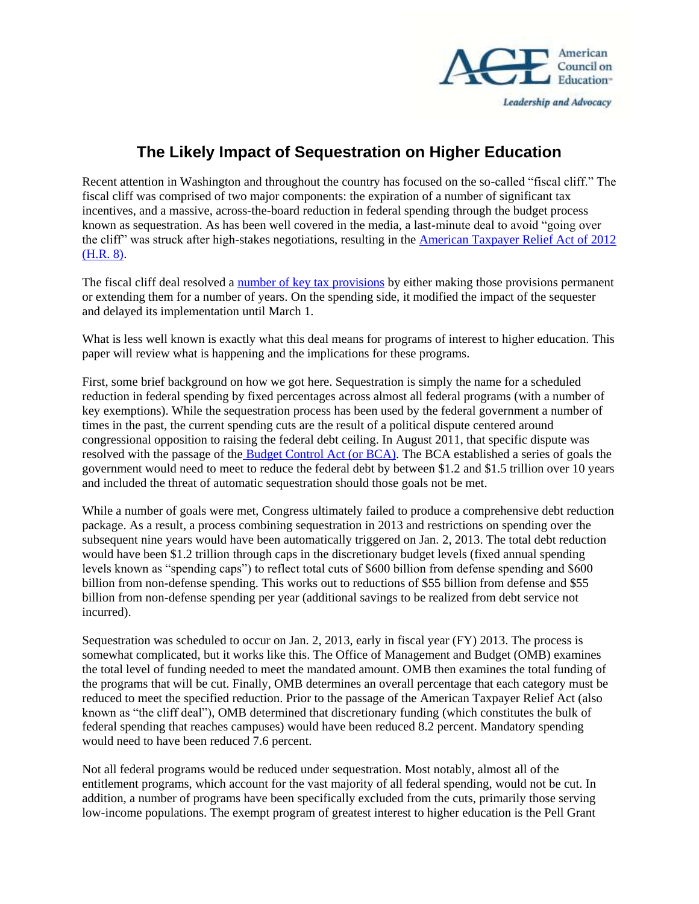

## **The Likely Impact of Sequestration on Higher Education**

Recent attention in Washington and throughout the country has focused on the so-called "fiscal cliff." The fiscal cliff was comprised of two major components: the expiration of a number of significant tax incentives, and a massive, across-the-board reduction in federal spending through the budget process known as sequestration. As has been well covered in the media, a last-minute deal to avoid "going over the cliff" was struck after high-stakes negotiations, resulting in the [American Taxpayer Relief Act of 2012](http://www.opencongress.org/bill/112-h8/show)  [\(H.R. 8\).](http://www.opencongress.org/bill/112-h8/show)

The fiscal cliff deal resolved a [number of key tax provisions](http://www.acenet.edu/news-room/Pages/American-Taxpayer-Relief-Act-and-HigherEd.aspx) by either making those provisions permanent or extending them for a number of years. On the spending side, it modified the impact of the sequester and delayed its implementation until March 1.

What is less well known is exactly what this deal means for programs of interest to higher education. This paper will review what is happening and the implications for these programs.

First, some brief background on how we got here. Sequestration is simply the name for a scheduled reduction in federal spending by fixed percentages across almost all federal programs (with a number of key exemptions). While the sequestration process has been used by the federal government a number of times in the past, the current spending cuts are the result of a political dispute centered around congressional opposition to raising the federal debt ceiling. In August 2011, that specific dispute was resolved with the passage of the [Budget Control Act \(or BCA\).](http://budget.senate.gov/democratic/index.cfm/fiscal-year-2012) The BCA established a series of goals the government would need to meet to reduce the federal debt by between \$1.2 and \$1.5 trillion over 10 years and included the threat of automatic sequestration should those goals not be met.

While a number of goals were met, Congress ultimately failed to produce a comprehensive debt reduction package. As a result, a process combining sequestration in 2013 and restrictions on spending over the subsequent nine years would have been automatically triggered on Jan. 2, 2013. The total debt reduction would have been \$1.2 trillion through caps in the discretionary budget levels (fixed annual spending levels known as "spending caps") to reflect total cuts of \$600 billion from defense spending and \$600 billion from non-defense spending. This works out to reductions of \$55 billion from defense and \$55 billion from non-defense spending per year (additional savings to be realized from debt service not incurred).

Sequestration was scheduled to occur on Jan. 2, 2013, early in fiscal year (FY) 2013. The process is somewhat complicated, but it works like this. The Office of Management and Budget (OMB) examines the total level of funding needed to meet the mandated amount. OMB then examines the total funding of the programs that will be cut. Finally, OMB determines an overall percentage that each category must be reduced to meet the specified reduction. Prior to the passage of the American Taxpayer Relief Act (also known as "the cliff deal"), OMB determined that discretionary funding (which constitutes the bulk of federal spending that reaches campuses) would have been reduced 8.2 percent. Mandatory spending would need to have been reduced 7.6 percent.

Not all federal programs would be reduced under sequestration. Most notably, almost all of the entitlement programs, which account for the vast majority of all federal spending, would not be cut. In addition, a number of programs have been specifically excluded from the cuts, primarily those serving low-income populations. The exempt program of greatest interest to higher education is the Pell Grant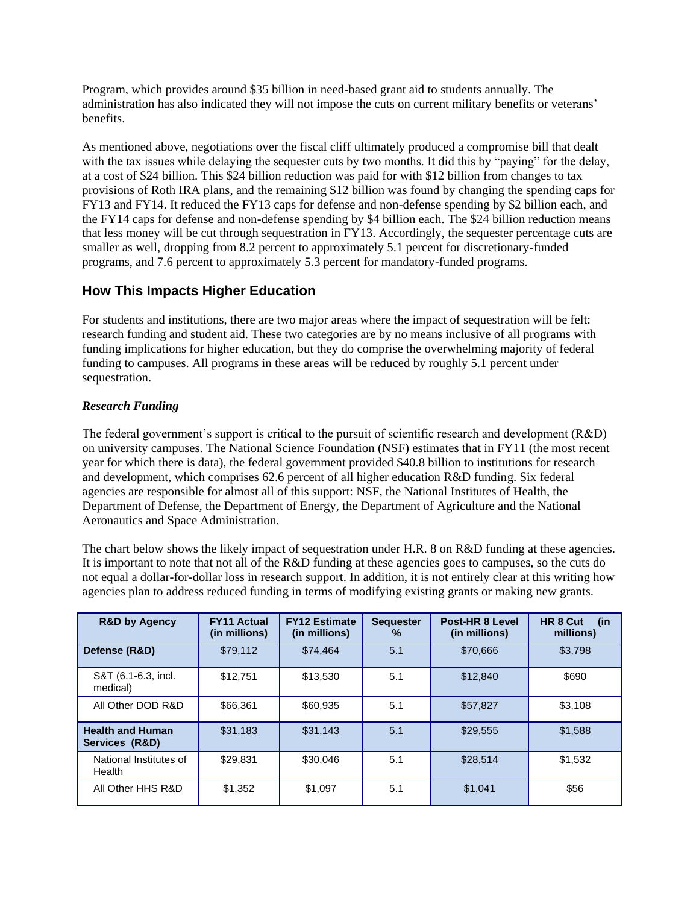Program, which provides around \$35 billion in need-based grant aid to students annually. The administration has also indicated they will not impose the cuts on current military benefits or veterans' benefits.

As mentioned above, negotiations over the fiscal cliff ultimately produced a compromise bill that dealt with the tax issues while delaying the sequester cuts by two months. It did this by "paying" for the delay, at a cost of \$24 billion. This \$24 billion reduction was paid for with \$12 billion from changes to tax provisions of Roth IRA plans, and the remaining \$12 billion was found by changing the spending caps for FY13 and FY14. It reduced the FY13 caps for defense and non-defense spending by \$2 billion each, and the FY14 caps for defense and non-defense spending by \$4 billion each. The \$24 billion reduction means that less money will be cut through sequestration in FY13. Accordingly, the sequester percentage cuts are smaller as well, dropping from 8.2 percent to approximately 5.1 percent for discretionary-funded programs, and 7.6 percent to approximately 5.3 percent for mandatory-funded programs.

## **How This Impacts Higher Education**

For students and institutions, there are two major areas where the impact of sequestration will be felt: research funding and student aid. These two categories are by no means inclusive of all programs with funding implications for higher education, but they do comprise the overwhelming majority of federal funding to campuses. All programs in these areas will be reduced by roughly 5.1 percent under sequestration.

## *Research Funding*

The federal government's support is critical to the pursuit of scientific research and development (R&D) on university campuses. The National Science Foundation (NSF) estimates that in FY11 (the most recent year for which there is data), the federal government provided \$40.8 billion to institutions for research and development, which comprises 62.6 percent of all higher education R&D funding. Six federal agencies are responsible for almost all of this support: NSF, the National Institutes of Health, the Department of Defense, the Department of Energy, the Department of Agriculture and the National Aeronautics and Space Administration.

The chart below shows the likely impact of sequestration under H.R. 8 on R&D funding at these agencies. It is important to note that not all of the R&D funding at these agencies goes to campuses, so the cuts do not equal a dollar-for-dollar loss in research support. In addition, it is not entirely clear at this writing how agencies plan to address reduced funding in terms of modifying existing grants or making new grants.

| <b>R&amp;D by Agency</b>                  | <b>FY11 Actual</b><br>(in millions) | <b>FY12 Estimate</b><br>(in millions) | Post-HR 8 Level<br><b>Sequester</b><br>$\%$<br>(in millions) |          | HR 8 Cut<br>(in<br>millions) |  |
|-------------------------------------------|-------------------------------------|---------------------------------------|--------------------------------------------------------------|----------|------------------------------|--|
| Defense (R&D)                             | \$79,112                            | \$74,464                              | 5.1<br>\$70,666                                              |          |                              |  |
| S&T (6.1-6.3, incl.<br>medical)           | \$12,751                            | \$13.530                              | 5.1<br>\$12,840                                              |          | \$690                        |  |
| All Other DOD R&D                         | \$66,361                            | \$60,935                              | 5.1                                                          | \$57.827 | \$3.108                      |  |
| <b>Health and Human</b><br>Services (R&D) | \$31,183                            | \$31.143                              | 5.1                                                          | \$29.555 | \$1,588                      |  |
| National Institutes of<br>Health          | \$29,831                            | \$30,046                              | 5.1<br>\$28.514                                              |          | \$1,532                      |  |
| All Other HHS R&D                         | \$1,352                             | \$1,097                               | 5.1<br>\$1,041                                               |          | \$56                         |  |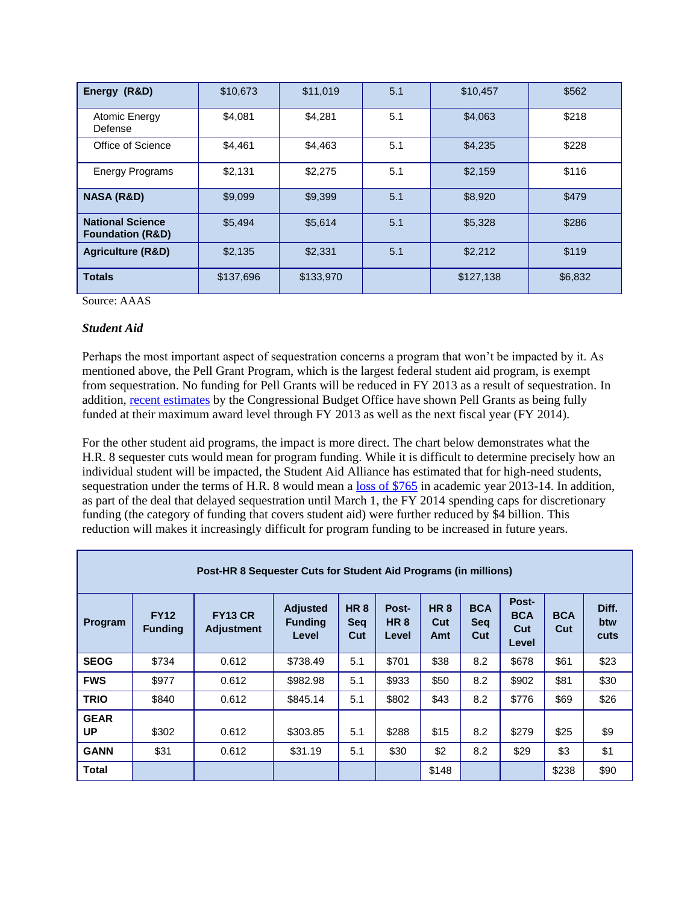| Energy (R&D)                                           | \$10,673  | \$11,019  | 5.1 | \$10,457  | \$562   |  |
|--------------------------------------------------------|-----------|-----------|-----|-----------|---------|--|
| Atomic Energy<br>Defense                               | \$4,081   | \$4,281   | 5.1 | \$4,063   | \$218   |  |
| Office of Science                                      | \$4,461   | \$4,463   | 5.1 | \$4,235   | \$228   |  |
| <b>Energy Programs</b>                                 | \$2,131   | \$2,275   | 5.1 | \$2,159   | \$116   |  |
| <b>NASA (R&amp;D)</b>                                  | \$9,099   | \$9,399   | 5.1 | \$8,920   | \$479   |  |
| <b>National Science</b><br><b>Foundation (R&amp;D)</b> | \$5,494   | \$5,614   | 5.1 | \$5,328   | \$286   |  |
| <b>Agriculture (R&amp;D)</b>                           | \$2,135   | \$2,331   | 5.1 | \$2,212   | \$119   |  |
| <b>Totals</b>                                          | \$137,696 | \$133,970 |     | \$127,138 | \$6,832 |  |

Source: AAAS

## *Student Aid*

Perhaps the most important aspect of sequestration concerns a program that won't be impacted by it. As mentioned above, the Pell Grant Program, which is the largest federal student aid program, is exempt from sequestration. No funding for Pell Grants will be reduced in FY 2013 as a result of sequestration. In addition, [recent estimates](https://www.cbo.gov/publication/43912?utm_source=feedblitz&utm_medium=FeedBlitzEmail&utm_content=812526&utm_campaign=0) by the Congressional Budget Office have shown Pell Grants as being fully funded at their maximum award level through FY 2013 as well as the next fiscal year (FY 2014).

For the other student aid programs, the impact is more direct. The chart below demonstrates what the H.R. 8 sequester cuts would mean for program funding. While it is difficult to determine precisely how an individual student will be impacted, the Student Aid Alliance has estimated that for high-need students, sequestration under the terms of H.R. 8 would mean a [loss of \\$765](http://saa.send-list.com/click/member/2008/3/) in academic year 2013-14. In addition, as part of the deal that delayed sequestration until March 1, the FY 2014 spending caps for discretionary funding (the category of funding that covers student aid) were further reduced by \$4 billion. This reduction will makes it increasingly difficult for program funding to be increased in future years.

| Post-HR 8 Sequester Cuts for Student Aid Programs (in millions) |                               |                                     |                                            |                                 |                                   |                          |                                 |                                     |                   |                      |
|-----------------------------------------------------------------|-------------------------------|-------------------------------------|--------------------------------------------|---------------------------------|-----------------------------------|--------------------------|---------------------------------|-------------------------------------|-------------------|----------------------|
| Program                                                         | <b>FY12</b><br><b>Funding</b> | <b>FY13 CR</b><br><b>Adjustment</b> | <b>Adjusted</b><br><b>Funding</b><br>Level | <b>HR8</b><br><b>Seq</b><br>Cut | Post-<br>HR <sub>8</sub><br>Level | <b>HR8</b><br>Cut<br>Amt | <b>BCA</b><br><b>Seq</b><br>Cut | Post-<br><b>BCA</b><br>Cut<br>Level | <b>BCA</b><br>Cut | Diff.<br>btw<br>cuts |
| <b>SEOG</b>                                                     | \$734                         | 0.612                               | \$738.49                                   | 5.1                             | \$701                             | \$38                     | 8.2                             | \$678                               | \$61              | \$23                 |
| <b>FWS</b>                                                      | \$977                         | 0.612                               | \$982.98                                   | 5.1                             | \$933                             | \$50                     | 8.2                             | \$902                               | \$81              | \$30                 |
| <b>TRIO</b>                                                     | \$840                         | 0.612                               | \$845.14                                   | 5.1                             | \$802                             | \$43                     | 8.2                             | \$776                               | \$69              | \$26                 |
| <b>GEAR</b><br>UP                                               | \$302                         | 0.612                               | \$303.85                                   | 5.1                             | \$288                             | \$15                     | 8.2                             | \$279                               | \$25              | \$9                  |
| <b>GANN</b>                                                     | \$31                          | 0.612                               | \$31.19                                    | 5.1                             | \$30                              | \$2                      | 8.2                             | \$29                                | \$3               | \$1                  |
| <b>Total</b>                                                    |                               |                                     |                                            |                                 |                                   | \$148                    |                                 |                                     | \$238             | \$90                 |